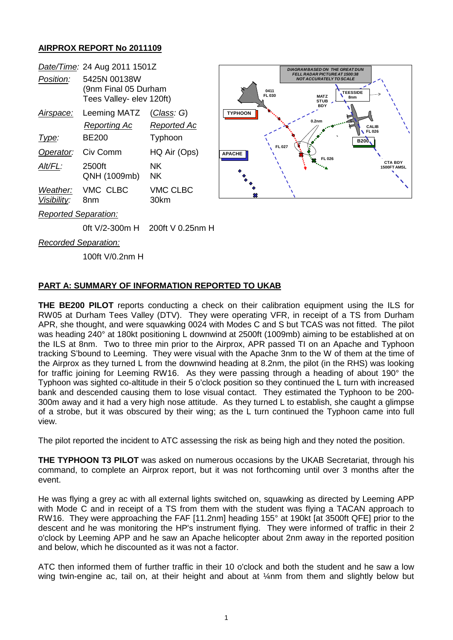## **AIRPROX REPORT No 2011109**

|                             | Date/Time: 24 Aug 2011 1501Z                                     |                           |
|-----------------------------|------------------------------------------------------------------|---------------------------|
| Position:                   | 5425N 00138W<br>(9nm Final 05 Durham<br>Tees Valley- elev 120ft) |                           |
| Airspace:                   | Leeming MATZ<br>Reporting Ac                                     | (Class: G)<br>Reported Ac |
| Type:                       | BF200                                                            | Typhoon                   |
| Operator:                   | Civ Comm                                                         | HQ Air (Ops)              |
| Alt/FL:                     | 2500ft<br>QNH (1009mb)                                           | ΝK<br>ΝK                  |
| Weather:<br>Visibility:     | VMC CLBC<br>8nm                                                  | <b>VMC CLBC</b><br>30km   |
| <b>Reported Separation:</b> |                                                                  |                           |



*Recorded Separation:*

100ft V/0.2nm H

## **PART A: SUMMARY OF INFORMATION REPORTED TO UKAB**

0ft V/2-300m H 200ft V 0.25nm H

**THE BE200 PILOT** reports conducting a check on their calibration equipment using the ILS for RW05 at Durham Tees Valley (DTV). They were operating VFR, in receipt of a TS from Durham APR, she thought, and were squawking 0024 with Modes C and S but TCAS was not fitted. The pilot was heading 240° at 180kt positioning L downwind at 2500ft (1009mb) aiming to be established at on the ILS at 8nm. Two to three min prior to the Airprox, APR passed TI on an Apache and Typhoon tracking S'bound to Leeming. They were visual with the Apache 3nm to the W of them at the time of the Airprox as they turned L from the downwind heading at 8.2nm, the pilot (in the RHS) was looking for traffic joining for Leeming RW16. As they were passing through a heading of about 190° the Typhoon was sighted co-altitude in their 5 o'clock position so they continued the L turn with increased bank and descended causing them to lose visual contact. They estimated the Typhoon to be 200- 300m away and it had a very high nose attitude. As they turned L to establish, she caught a glimpse of a strobe, but it was obscured by their wing; as the L turn continued the Typhoon came into full view.

The pilot reported the incident to ATC assessing the risk as being high and they noted the position.

**THE TYPHOON T3 PILOT** was asked on numerous occasions by the UKAB Secretariat, through his command, to complete an Airprox report, but it was not forthcoming until over 3 months after the event.

He was flying a grey ac with all external lights switched on, squawking as directed by Leeming APP with Mode C and in receipt of a TS from them with the student was flying a TACAN approach to RW16. They were approaching the FAF [11.2nm] heading 155° at 190kt [at 3500ft QFE] prior to the descent and he was monitoring the HP's instrument flying. They were informed of traffic in their 2 o'clock by Leeming APP and he saw an Apache helicopter about 2nm away in the reported position and below, which he discounted as it was not a factor.

ATC then informed them of further traffic in their 10 o'clock and both the student and he saw a low wing twin-engine ac, tail on, at their height and about at ¼nm from them and slightly below but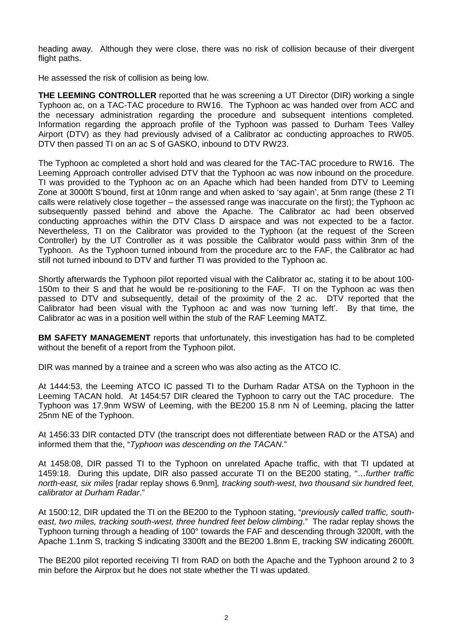heading away. Although they were close, there was no risk of collision because of their divergent flight paths.

He assessed the risk of collision as being low.

**THE LEEMING CONTROLLER** reported that he was screening a UT Director (DIR) working a single Typhoon ac, on a TAC-TAC procedure to RW16. The Typhoon ac was handed over from ACC and the necessary administration regarding the procedure and subsequent intentions completed. Information regarding the approach profile of the Typhoon was passed to Durham Tees Valley Airport (DTV) as they had previously advised of a Calibrator ac conducting approaches to RW05. DTV then passed TI on an ac S of GASKO, inbound to DTV RW23.

The Typhoon ac completed a short hold and was cleared for the TAC-TAC procedure to RW16. The Leeming Approach controller advised DTV that the Typhoon ac was now inbound on the procedure. TI was provided to the Typhoon ac on an Apache which had been handed from DTV to Leeming Zone at 3000ft S'bound, first at 10nm range and when asked to 'say again', at 5nm range (these 2 TI calls were relatively close together – the assessed range was inaccurate on the first); the Typhoon ac subsequently passed behind and above the Apache. The Calibrator ac had been observed conducting approaches within the DTV Class D airspace and was not expected to be a factor. Nevertheless, TI on the Calibrator was provided to the Typhoon (at the request of the Screen Controller) by the UT Controller as it was possible the Calibrator would pass within 3nm of the Typhoon. As the Typhoon turned inbound from the procedure arc to the FAF, the Calibrator ac had still not turned inbound to DTV and further TI was provided to the Typhoon ac.

Shortly afterwards the Typhoon pilot reported visual with the Calibrator ac, stating it to be about 100- 150m to their S and that he would be re-positioning to the FAF. TI on the Typhoon ac was then passed to DTV and subsequently, detail of the proximity of the 2 ac. DTV reported that the Calibrator had been visual with the Typhoon ac and was now 'turning left'. By that time, the Calibrator ac was in a position well within the stub of the RAF Leeming MATZ.

**BM SAFETY MANAGEMENT** reports that unfortunately, this investigation has had to be completed without the benefit of a report from the Typhoon pilot.

DIR was manned by a trainee and a screen who was also acting as the ATCO IC.

At 1444:53, the Leeming ATCO IC passed TI to the Durham Radar ATSA on the Typhoon in the Leeming TACAN hold. At 1454:57 DIR cleared the Typhoon to carry out the TAC procedure. The Typhoon was 17.9nm WSW of Leeming, with the BE200 15.8 nm N of Leeming, placing the latter 25nm NE of the Typhoon.

At 1456:33 DIR contacted DTV (the transcript does not differentiate between RAD or the ATSA) and informed them that the, "*Typhoon was descending on the TACAN*."

At 1458:08, DIR passed TI to the Typhoon on unrelated Apache traffic, with that TI updated at 1459:18. During this update, DIR also passed accurate TI on the BE200 stating, "…*further traffic north-east, six miles* [radar replay shows 6.9nm]*, tracking south-west, two thousand six hundred feet, calibrator at Durham Radar*."

At 1500:12, DIR updated the TI on the BE200 to the Typhoon stating, "*previously called traffic, southeast, two miles, tracking south-west, three hundred feet below climbing*." The radar replay shows the Typhoon turning through a heading of 100° towards the FAF and descending through 3200ft, with the Apache 1.1nm S, tracking S indicating 3300ft and the BE200 1.8nm E, tracking SW indicating 2600ft.

The BE200 pilot reported receiving TI from RAD on both the Apache and the Typhoon around 2 to 3 min before the Airprox but he does not state whether the TI was updated.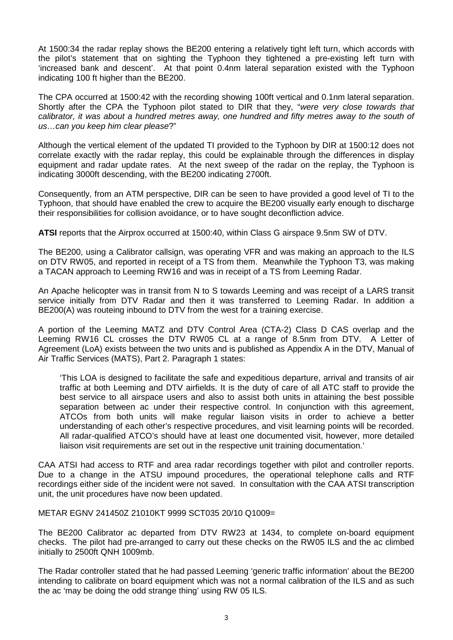At 1500:34 the radar replay shows the BE200 entering a relatively tight left turn, which accords with the pilot's statement that on sighting the Typhoon they tightened a pre-existing left turn with 'increased bank and descent'. At that point 0.4nm lateral separation existed with the Typhoon indicating 100 ft higher than the BE200.

The CPA occurred at 1500:42 with the recording showing 100ft vertical and 0.1nm lateral separation. Shortly after the CPA the Typhoon pilot stated to DIR that they, "*were very close towards that calibrator, it was about a hundred metres away, one hundred and fifty metres away to the south of us…can you keep him clear please*?"

Although the vertical element of the updated TI provided to the Typhoon by DIR at 1500:12 does not correlate exactly with the radar replay, this could be explainable through the differences in display equipment and radar update rates. At the next sweep of the radar on the replay, the Typhoon is indicating 3000ft descending, with the BE200 indicating 2700ft.

Consequently, from an ATM perspective, DIR can be seen to have provided a good level of TI to the Typhoon, that should have enabled the crew to acquire the BE200 visually early enough to discharge their responsibilities for collision avoidance, or to have sought deconfliction advice.

**ATSI** reports that the Airprox occurred at 1500:40, within Class G airspace 9.5nm SW of DTV.

The BE200, using a Calibrator callsign, was operating VFR and was making an approach to the ILS on DTV RW05, and reported in receipt of a TS from them. Meanwhile the Typhoon T3, was making a TACAN approach to Leeming RW16 and was in receipt of a TS from Leeming Radar.

An Apache helicopter was in transit from N to S towards Leeming and was receipt of a LARS transit service initially from DTV Radar and then it was transferred to Leeming Radar. In addition a BE200(A) was routeing inbound to DTV from the west for a training exercise.

A portion of the Leeming MATZ and DTV Control Area (CTA-2) Class D CAS overlap and the Leeming RW16 CL crosses the DTV RW05 CL at a range of 8.5nm from DTV. A Letter of Agreement (LoA) exists between the two units and is published as Appendix A in the DTV, Manual of Air Traffic Services (MATS), Part 2. Paragraph 1 states:

'This LOA is designed to facilitate the safe and expeditious departure, arrival and transits of air traffic at both Leeming and DTV airfields. It is the duty of care of all ATC staff to provide the best service to all airspace users and also to assist both units in attaining the best possible separation between ac under their respective control. In conjunction with this agreement, ATCOs from both units will make regular liaison visits in order to achieve a better understanding of each other's respective procedures, and visit learning points will be recorded. All radar-qualified ATCO's should have at least one documented visit, however, more detailed liaison visit requirements are set out in the respective unit training documentation.'

CAA ATSI had access to RTF and area radar recordings together with pilot and controller reports. Due to a change in the ATSU impound procedures, the operational telephone calls and RTF recordings either side of the incident were not saved. In consultation with the CAA ATSI transcription unit, the unit procedures have now been updated.

METAR EGNV 241450Z 21010KT 9999 SCT035 20/10 Q1009=

The BE200 Calibrator ac departed from DTV RW23 at 1434, to complete on-board equipment checks. The pilot had pre-arranged to carry out these checks on the RW05 ILS and the ac climbed initially to 2500ft QNH 1009mb.

The Radar controller stated that he had passed Leeming 'generic traffic information' about the BE200 intending to calibrate on board equipment which was not a normal calibration of the ILS and as such the ac 'may be doing the odd strange thing' using RW 05 ILS.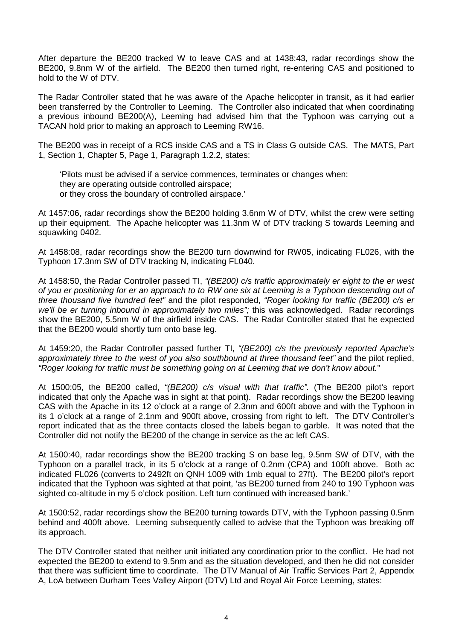After departure the BE200 tracked W to leave CAS and at 1438:43, radar recordings show the BE200, 9.8nm W of the airfield. The BE200 then turned right, re-entering CAS and positioned to hold to the W of DTV.

The Radar Controller stated that he was aware of the Apache helicopter in transit, as it had earlier been transferred by the Controller to Leeming. The Controller also indicated that when coordinating a previous inbound BE200(A), Leeming had advised him that the Typhoon was carrying out a TACAN hold prior to making an approach to Leeming RW16.

The BE200 was in receipt of a RCS inside CAS and a TS in Class G outside CAS. The MATS, Part 1, Section 1, Chapter 5, Page 1, Paragraph 1.2.2, states:

'Pilots must be advised if a service commences, terminates or changes when: they are operating outside controlled airspace; or they cross the boundary of controlled airspace.'

At 1457:06, radar recordings show the BE200 holding 3.6nm W of DTV, whilst the crew were setting up their equipment. The Apache helicopter was 11.3nm W of DTV tracking S towards Leeming and squawking 0402.

At 1458:08, radar recordings show the BE200 turn downwind for RW05, indicating FL026, with the Typhoon 17.3nm SW of DTV tracking N, indicating FL040.

At 1458:50, the Radar Controller passed TI, *"(BE200) c/s traffic approximately er eight to the er west of you er positioning for er an approach to to RW one six at Leeming is a Typhoon descending out of three thousand five hundred feet"* and the pilot responded, *"Roger looking for traffic (BE200) c/s er we'll be er turning inbound in approximately two miles";* this was acknowledged. Radar recordings show the BE200, 5.5nm W of the airfield inside CAS. The Radar Controller stated that he expected that the BE200 would shortly turn onto base leg.

At 1459:20, the Radar Controller passed further TI, *"(BE200) c/s the previously reported Apache's approximately three to the west of you also southbound at three thousand feet"* and the pilot replied, *"Roger looking for traffic must be something going on at Leeming that we don't know about.*"

At 1500:05, the BE200 called, *"(BE200) c/s visual with that traffic".* (The BE200 pilot's report indicated that only the Apache was in sight at that point). Radar recordings show the BE200 leaving CAS with the Apache in its 12 o'clock at a range of 2.3nm and 600ft above and with the Typhoon in its 1 o'clock at a range of 2.1nm and 900ft above, crossing from right to left. The DTV Controller's report indicated that as the three contacts closed the labels began to garble. It was noted that the Controller did not notify the BE200 of the change in service as the ac left CAS.

At 1500:40, radar recordings show the BE200 tracking S on base leg, 9.5nm SW of DTV, with the Typhoon on a parallel track, in its 5 o'clock at a range of 0.2nm (CPA) and 100ft above. Both ac indicated FL026 (converts to 2492ft on QNH 1009 with 1mb equal to 27ft). The BE200 pilot's report indicated that the Typhoon was sighted at that point, 'as BE200 turned from 240 to 190 Typhoon was sighted co-altitude in my 5 o'clock position. Left turn continued with increased bank.'

At 1500:52, radar recordings show the BE200 turning towards DTV, with the Typhoon passing 0.5nm behind and 400ft above. Leeming subsequently called to advise that the Typhoon was breaking off its approach.

The DTV Controller stated that neither unit initiated any coordination prior to the conflict. He had not expected the BE200 to extend to 9.5nm and as the situation developed, and then he did not consider that there was sufficient time to coordinate. The DTV Manual of Air Traffic Services Part 2, Appendix A, LoA between Durham Tees Valley Airport (DTV) Ltd and Royal Air Force Leeming, states: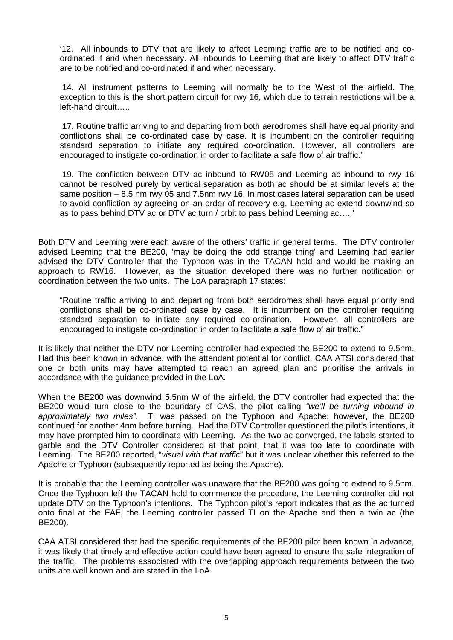'12. All inbounds to DTV that are likely to affect Leeming traffic are to be notified and coordinated if and when necessary. All inbounds to Leeming that are likely to affect DTV traffic are to be notified and co-ordinated if and when necessary.

14. All instrument patterns to Leeming will normally be to the West of the airfield. The exception to this is the short pattern circuit for rwy 16, which due to terrain restrictions will be a left-hand circuit…..

17. Routine traffic arriving to and departing from both aerodromes shall have equal priority and conflictions shall be co-ordinated case by case. It is incumbent on the controller requiring standard separation to initiate any required co-ordination. However, all controllers are encouraged to instigate co-ordination in order to facilitate a safe flow of air traffic.'

19. The confliction between DTV ac inbound to RW05 and Leeming ac inbound to rwy 16 cannot be resolved purely by vertical separation as both ac should be at similar levels at the same position – 8.5 nm rwy 05 and 7.5nm rwy 16. In most cases lateral separation can be used to avoid confliction by agreeing on an order of recovery e.g. Leeming ac extend downwind so as to pass behind DTV ac or DTV ac turn / orbit to pass behind Leeming ac…..'

Both DTV and Leeming were each aware of the others' traffic in general terms. The DTV controller advised Leeming that the BE200, 'may be doing the odd strange thing' and Leeming had earlier advised the DTV Controller that the Typhoon was in the TACAN hold and would be making an approach to RW16. However, as the situation developed there was no further notification or coordination between the two units. The LoA paragraph 17 states:

"Routine traffic arriving to and departing from both aerodromes shall have equal priority and conflictions shall be co-ordinated case by case. It is incumbent on the controller requiring standard separation to initiate any required co-ordination. However, all controllers are encouraged to instigate co-ordination in order to facilitate a safe flow of air traffic."

It is likely that neither the DTV nor Leeming controller had expected the BE200 to extend to 9.5nm. Had this been known in advance, with the attendant potential for conflict, CAA ATSI considered that one or both units may have attempted to reach an agreed plan and prioritise the arrivals in accordance with the guidance provided in the LoA.

When the BE200 was downwind 5.5nm W of the airfield, the DTV controller had expected that the BE200 would turn close to the boundary of CAS, the pilot calling *"we'll be turning inbound in approximately two miles".* TI was passed on the Typhoon and Apache; however, the BE200 continued for another 4nm before turning. Had the DTV Controller questioned the pilot's intentions, it may have prompted him to coordinate with Leeming. As the two ac converged, the labels started to garble and the DTV Controller considered at that point, that it was too late to coordinate with Leeming. The BE200 reported, "*visual with that traffic*" but it was unclear whether this referred to the Apache or Typhoon (subsequently reported as being the Apache).

It is probable that the Leeming controller was unaware that the BE200 was going to extend to 9.5nm. Once the Typhoon left the TACAN hold to commence the procedure, the Leeming controller did not update DTV on the Typhoon's intentions. The Typhoon pilot's report indicates that as the ac turned onto final at the FAF, the Leeming controller passed TI on the Apache and then a twin ac (the BE200).

CAA ATSI considered that had the specific requirements of the BE200 pilot been known in advance, it was likely that timely and effective action could have been agreed to ensure the safe integration of the traffic. The problems associated with the overlapping approach requirements between the two units are well known and are stated in the LoA.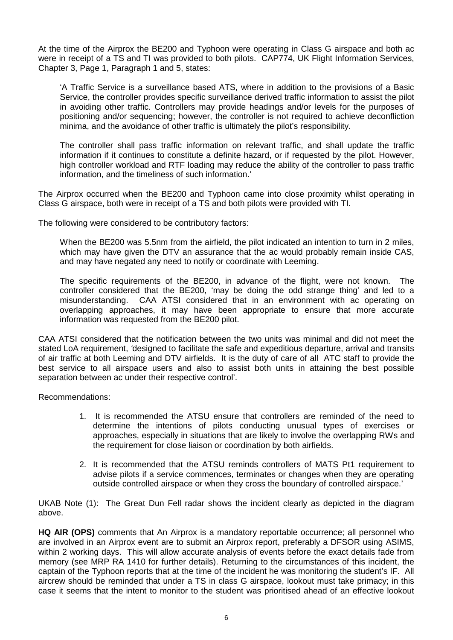At the time of the Airprox the BE200 and Typhoon were operating in Class G airspace and both ac were in receipt of a TS and TI was provided to both pilots. CAP774, UK Flight Information Services, Chapter 3, Page 1, Paragraph 1 and 5, states:

'A Traffic Service is a surveillance based ATS, where in addition to the provisions of a Basic Service, the controller provides specific surveillance derived traffic information to assist the pilot in avoiding other traffic. Controllers may provide headings and/or levels for the purposes of positioning and/or sequencing; however, the controller is not required to achieve deconfliction minima, and the avoidance of other traffic is ultimately the pilot's responsibility.

The controller shall pass traffic information on relevant traffic, and shall update the traffic information if it continues to constitute a definite hazard, or if requested by the pilot. However, high controller workload and RTF loading may reduce the ability of the controller to pass traffic information, and the timeliness of such information.'

The Airprox occurred when the BE200 and Typhoon came into close proximity whilst operating in Class G airspace, both were in receipt of a TS and both pilots were provided with TI.

The following were considered to be contributory factors:

When the BE200 was 5.5nm from the airfield, the pilot indicated an intention to turn in 2 miles, which may have given the DTV an assurance that the ac would probably remain inside CAS, and may have negated any need to notify or coordinate with Leeming.

The specific requirements of the BE200, in advance of the flight, were not known. The controller considered that the BE200, 'may be doing the odd strange thing' and led to a misunderstanding. CAA ATSI considered that in an environment with ac operating on overlapping approaches, it may have been appropriate to ensure that more accurate information was requested from the BE200 pilot.

CAA ATSI considered that the notification between the two units was minimal and did not meet the stated LoA requirement, *'*designed to facilitate the safe and expeditious departure, arrival and transits of air traffic at both Leeming and DTV airfields. It is the duty of care of all ATC staff to provide the best service to all airspace users and also to assist both units in attaining the best possible separation between ac under their respective control'.

Recommendations:

- 1. It is recommended the ATSU ensure that controllers are reminded of the need to determine the intentions of pilots conducting unusual types of exercises or approaches, especially in situations that are likely to involve the overlapping RWs and the requirement for close liaison or coordination by both airfields.
- 2. It is recommended that the ATSU reminds controllers of MATS Pt1 requirement to advise pilots if a service commences, terminates or changes when they are operating outside controlled airspace or when they cross the boundary of controlled airspace.'

UKAB Note (1): The Great Dun Fell radar shows the incident clearly as depicted in the diagram above.

**HQ AIR (OPS)** comments that An Airprox is a mandatory reportable occurrence; all personnel who are involved in an Airprox event are to submit an Airprox report, preferably a DFSOR using ASIMS, within 2 working days. This will allow accurate analysis of events before the exact details fade from memory (see MRP RA 1410 for further details). Returning to the circumstances of this incident, the captain of the Typhoon reports that at the time of the incident he was monitoring the student's IF. All aircrew should be reminded that under a TS in class G airspace, lookout must take primacy; in this case it seems that the intent to monitor to the student was prioritised ahead of an effective lookout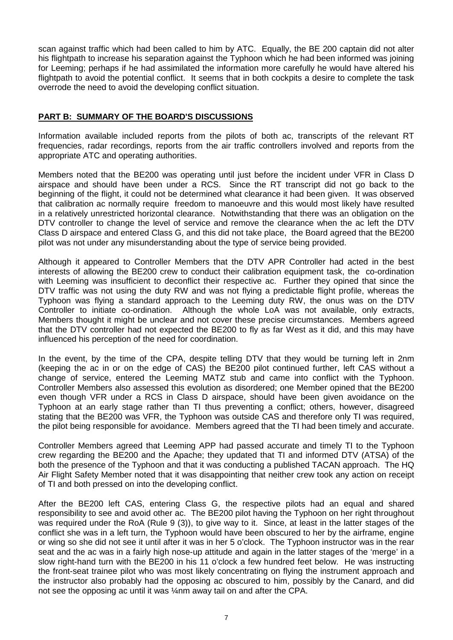scan against traffic which had been called to him by ATC. Equally, the BE 200 captain did not alter his flightpath to increase his separation against the Typhoon which he had been informed was joining for Leeming; perhaps if he had assimilated the information more carefully he would have altered his flightpath to avoid the potential conflict. It seems that in both cockpits a desire to complete the task overrode the need to avoid the developing conflict situation.

## **PART B: SUMMARY OF THE BOARD'S DISCUSSIONS**

Information available included reports from the pilots of both ac, transcripts of the relevant RT frequencies, radar recordings, reports from the air traffic controllers involved and reports from the appropriate ATC and operating authorities.

Members noted that the BE200 was operating until just before the incident under VFR in Class D airspace and should have been under a RCS. Since the RT transcript did not go back to the beginning of the flight, it could not be determined what clearance it had been given. It was observed that calibration ac normally require freedom to manoeuvre and this would most likely have resulted in a relatively unrestricted horizontal clearance. Notwithstanding that there was an obligation on the DTV controller to change the level of service and remove the clearance when the ac left the DTV Class D airspace and entered Class G, and this did not take place, the Board agreed that the BE200 pilot was not under any misunderstanding about the type of service being provided.

Although it appeared to Controller Members that the DTV APR Controller had acted in the best interests of allowing the BE200 crew to conduct their calibration equipment task, the co-ordination with Leeming was insufficient to deconflict their respective ac. Further they opined that since the DTV traffic was not using the duty RW and was not flying a predictable flight profile, whereas the Typhoon was flying a standard approach to the Leeming duty RW, the onus was on the DTV Controller to initiate co-ordination. Although the whole LoA was not available, only extracts, Members thought it might be unclear and not cover these precise circumstances. Members agreed that the DTV controller had not expected the BE200 to fly as far West as it did, and this may have influenced his perception of the need for coordination.

In the event, by the time of the CPA, despite telling DTV that they would be turning left in 2nm (keeping the ac in or on the edge of CAS) the BE200 pilot continued further, left CAS without a change of service, entered the Leeming MATZ stub and came into conflict with the Typhoon. Controller Members also assessed this evolution as disordered; one Member opined that the BE200 even though VFR under a RCS in Class D airspace, should have been given avoidance on the Typhoon at an early stage rather than TI thus preventing a conflict; others, however, disagreed stating that the BE200 was VFR, the Typhoon was outside CAS and therefore only TI was required, the pilot being responsible for avoidance. Members agreed that the TI had been timely and accurate.

Controller Members agreed that Leeming APP had passed accurate and timely TI to the Typhoon crew regarding the BE200 and the Apache; they updated that TI and informed DTV (ATSA) of the both the presence of the Typhoon and that it was conducting a published TACAN approach. The HQ Air Flight Safety Member noted that it was disappointing that neither crew took any action on receipt of TI and both pressed on into the developing conflict.

After the BE200 left CAS, entering Class G, the respective pilots had an equal and shared responsibility to see and avoid other ac. The BE200 pilot having the Typhoon on her right throughout was required under the RoA (Rule 9 (3)), to give way to it. Since, at least in the latter stages of the conflict she was in a left turn, the Typhoon would have been obscured to her by the airframe, engine or wing so she did not see it until after it was in her 5 o'clock. The Typhoon instructor was in the rear seat and the ac was in a fairly high nose-up attitude and again in the latter stages of the 'merge' in a slow right-hand turn with the BE200 in his 11 o'clock a few hundred feet below. He was instructing the front-seat trainee pilot who was most likely concentrating on flying the instrument approach and the instructor also probably had the opposing ac obscured to him, possibly by the Canard, and did not see the opposing ac until it was ¼nm away tail on and after the CPA.